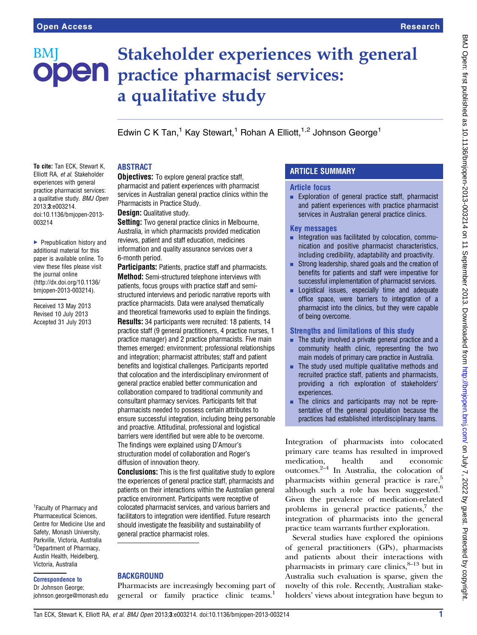# Stakeholder experiences with general BMI **ODEN** practice pharmacist services: a qualitative study

Edwin C K Tan,<sup>1</sup> Kay Stewart,<sup>1</sup> Rohan A Elliott,<sup>1,2</sup> Johnson George<sup>1</sup>

### ABSTRACT

To cite: Tan ECK, Stewart K, Elliott RA, et al. Stakeholder experiences with general practice pharmacist services: a qualitative study. BMJ Open 2013;3:e003214. doi:10.1136/bmjopen-2013- 003214

▶ Prepublication history and additional material for this paper is available online. To view these files please visit the journal online [\(http://dx.doi.org/10.1136/](http://dx.doi.org/10.1136/bmjopen-2013-003214) [bmjopen-2013-003214](http://dx.doi.org/10.1136/bmjopen-2013-003214)).

Received 13 May 2013 Revised 10 July 2013 Accepted 31 July 2013

<sup>1</sup> Faculty of Pharmacy and Pharmaceutical Sciences, Centre for Medicine Use and Safety, Monash University, Parkville, Victoria, Australia <sup>2</sup>Department of Pharmacy, Austin Health, Heidelberg, Victoria, Australia

# Correspondence to

Dr Johnson George; johnson.george@monash.edu

**Objectives:** To explore general practice staff, pharmacist and patient experiences with pharmacist services in Australian general practice clinics within the Pharmacists in Practice Study.

**Design:** Qualitative study.

**Setting:** Two general practice clinics in Melbourne. Australia, in which pharmacists provided medication reviews, patient and staff education, medicines information and quality assurance services over a 6-month period.

Participants: Patients, practice staff and pharmacists. Method: Semi-structured telephone interviews with patients, focus groups with practice staff and semistructured interviews and periodic narrative reports with practice pharmacists. Data were analysed thematically and theoretical frameworks used to explain the findings.

Results: 34 participants were recruited: 18 patients, 14 practice staff (9 general practitioners, 4 practice nurses, 1 practice manager) and 2 practice pharmacists. Five main themes emerged: environment; professional relationships and integration; pharmacist attributes; staff and patient benefits and logistical challenges. Participants reported that colocation and the interdisciplinary environment of general practice enabled better communication and collaboration compared to traditional community and consultant pharmacy services. Participants felt that pharmacists needed to possess certain attributes to ensure successful integration, including being personable and proactive. Attitudinal, professional and logistical barriers were identified but were able to be overcome. The findings were explained using D'Amour's structuration model of collaboration and Roger's diffusion of innovation theory.

**Conclusions:** This is the first qualitative study to explore the experiences of general practice staff, pharmacists and patients on their interactions within the Australian general practice environment. Participants were receptive of colocated pharmacist services, and various barriers and facilitators to integration were identified. Future research should investigate the feasibility and sustainability of general practice pharmacist roles.

#### **BACKGROUND**

Pharmacists are increasingly becoming part of general or family practice clinic teams.<sup>1</sup>

## ARTICLE SUMMARY

#### Article focus

 $\blacksquare$  Exploration of general practice staff, pharmacist and patient experiences with practice pharmacist services in Australian general practice clinics.

#### Key messages

- Integration was facilitated by colocation, communication and positive pharmacist characteristics, including credibility, adaptability and proactivity.
- Strong leadership, shared goals and the creation of benefits for patients and staff were imperative for successful implementation of pharmacist services.
- $\blacksquare$  Logistical issues, especially time and adequate office space, were barriers to integration of a pharmacist into the clinics, but they were capable of being overcome.

#### Strengths and limitations of this study

- $\blacksquare$  The study involved a private general practice and a community health clinic, representing the two main models of primary care practice in Australia.
- $\blacksquare$  The study used multiple qualitative methods and recruited practice staff, patients and pharmacists, providing a rich exploration of stakeholders' experiences.
- The clinics and participants may not be representative of the general population because the practices had established interdisciplinary teams.

Integration of pharmacists into colocated primary care teams has resulted in improved medication, health and economic outcomes.2–<sup>4</sup> In Australia, the colocation of pharmacists within general practice is rare, $5$ although such a role has been suggested.<sup>6</sup> Given the prevalence of medication-related problems in general practice patients, $\frac{7}{1}$  the integration of pharmacists into the general practice team warrants further exploration.

Several studies have explored the opinions of general practitioners (GPs), pharmacists and patients about their interactions with pharmacists in primary care clinics, $8-13$  but in Australia such evaluation is sparse, given the novelty of this role. Recently, Australian stakeholders' views about integration have begun to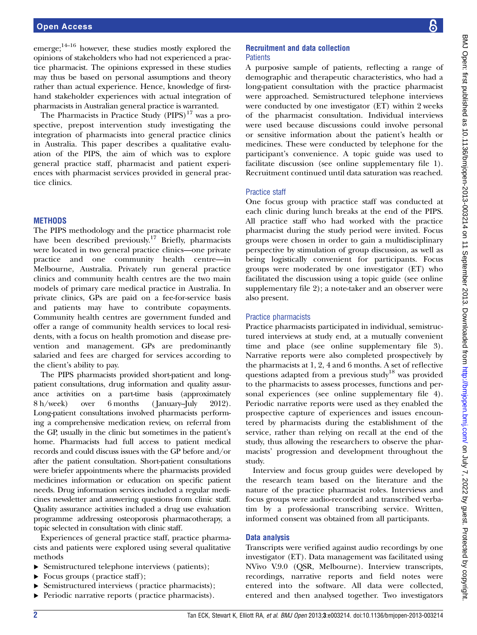emerge; <sup>14</sup>–<sup>16</sup> however, these studies mostly explored the opinions of stakeholders who had not experienced a practice pharmacist. The opinions expressed in these studies may thus be based on personal assumptions and theory rather than actual experience. Hence, knowledge of firsthand stakeholder experiences with actual integration of pharmacists in Australian general practice is warranted.

The Pharmacists in Practice Study (PIPS)<sup>17</sup> was a prospective, prepost intervention study investigating the integration of pharmacists into general practice clinics in Australia. This paper describes a qualitative evaluation of the PIPS, the aim of which was to explore general practice staff, pharmacist and patient experiences with pharmacist services provided in general practice clinics.

#### **METHODS**

The PIPS methodology and the practice pharmacist role have been described previously.<sup>17</sup> Briefly, pharmacists were located in two general practice clinics—one private practice and one community health centre—in Melbourne, Australia. Privately run general practice clinics and community health centres are the two main models of primary care medical practice in Australia. In private clinics, GPs are paid on a fee-for-service basis and patients may have to contribute copayments. Community health centres are government funded and offer a range of community health services to local residents, with a focus on health promotion and disease prevention and management. GPs are predominantly salaried and fees are charged for services according to the client's ability to pay.

The PIPS pharmacists provided short-patient and longpatient consultations, drug information and quality assurance activities on a part-time basis (approximately 8 h/week) over 6 months ( January–July 2012). Long-patient consultations involved pharmacists performing a comprehensive medication review, on referral from the GP, usually in the clinic but sometimes in the patient's home. Pharmacists had full access to patient medical records and could discuss issues with the GP before and/or after the patient consultation. Short-patient consultations were briefer appointments where the pharmacists provided medicines information or education on specific patient needs. Drug information services included a regular medicines newsletter and answering questions from clinic staff. Quality assurance activities included a drug use evaluation programme addressing osteoporosis pharmacotherapy, a topic selected in consultation with clinic staff.

Experiences of general practice staff, practice pharmacists and patients were explored using several qualitative methods

- ▸ Semistructured telephone interviews (patients);
- ▸ Focus groups (practice staff);
- ▸ Semistructured interviews (practice pharmacists);
- ▸ Periodic narrative reports (practice pharmacists).

#### Recruitment and data collection **Patients**

A purposive sample of patients, reflecting a range of demographic and therapeutic characteristics, who had a long-patient consultation with the practice pharmacist were approached. Semistructured telephone interviews were conducted by one investigator (ET) within 2 weeks of the pharmacist consultation. Individual interviews were used because discussions could involve personal or sensitive information about the patient's health or medicines. These were conducted by telephone for the participant's convenience. A topic guide was used to facilitate discussion (see online supplementary file 1). Recruitment continued until data saturation was reached.

#### Practice staff

One focus group with practice staff was conducted at each clinic during lunch breaks at the end of the PIPS. All practice staff who had worked with the practice pharmacist during the study period were invited. Focus groups were chosen in order to gain a multidisciplinary perspective by stimulation of group discussion, as well as being logistically convenient for participants. Focus groups were moderated by one investigator (ET) who facilitated the discussion using a topic guide (see online supplementary file 2); a note-taker and an observer were also present.

#### Practice pharmacists

Practice pharmacists participated in individual, semistructured interviews at study end, at a mutually convenient time and place (see online supplementary file 3). Narrative reports were also completed prospectively by the pharmacists at 1, 2, 4 and 6 months. A set of reflective questions adapted from a previous study<sup>18</sup> was provided to the pharmacists to assess processes, functions and personal experiences (see online supplementary file 4). Periodic narrative reports were used as they enabled the prospective capture of experiences and issues encountered by pharmacists during the establishment of the service, rather than relying on recall at the end of the study, thus allowing the researchers to observe the pharmacists' progression and development throughout the study.

Interview and focus group guides were developed by the research team based on the literature and the nature of the practice pharmacist roles. Interviews and focus groups were audio-recorded and transcribed verbatim by a professional transcribing service. Written, informed consent was obtained from all participants.

#### Data analysis

Transcripts were verified against audio recordings by one investigator (ET). Data management was facilitated using NVivo V.9.0 (QSR, Melbourne). Interview transcripts, recordings, narrative reports and field notes were entered into the software. All data were collected, entered and then analysed together. Two investigators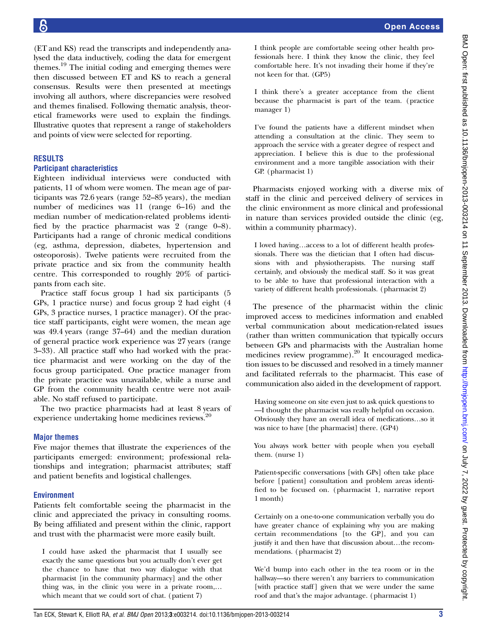(ET and KS) read the transcripts and independently analysed the data inductively, coding the data for emergent themes.<sup>19</sup> The initial coding and emerging themes were then discussed between ET and KS to reach a general consensus. Results were then presented at meetings involving all authors, where discrepancies were resolved

and themes finalised. Following thematic analysis, theoretical frameworks were used to explain the findings. Illustrative quotes that represent a range of stakeholders and points of view were selected for reporting.

#### RESULTS

#### Participant characteristics

Eighteen individual interviews were conducted with patients, 11 of whom were women. The mean age of participants was 72.6 years (range 52–85 years), the median number of medicines was 11 (range 6–16) and the median number of medication-related problems identified by the practice pharmacist was  $2 \text{ (range } 0-8)$ . Participants had a range of chronic medical conditions (eg, asthma, depression, diabetes, hypertension and osteoporosis). Twelve patients were recruited from the private practice and six from the community health centre. This corresponded to roughly 20% of participants from each site.

Practice staff focus group 1 had six participants (5 GPs, 1 practice nurse) and focus group 2 had eight (4 GPs, 3 practice nurses, 1 practice manager). Of the practice staff participants, eight were women, the mean age was 49.4 years (range 37–64) and the median duration of general practice work experience was 27 years (range 3–33). All practice staff who had worked with the practice pharmacist and were working on the day of the focus group participated. One practice manager from the private practice was unavailable, while a nurse and GP from the community health centre were not available. No staff refused to participate.

The two practice pharmacists had at least 8 years of experience undertaking home medicines reviews.<sup>20</sup>

#### Major themes

Five major themes that illustrate the experiences of the participants emerged: environment; professional relationships and integration; pharmacist attributes; staff and patient benefits and logistical challenges.

#### Environment

Patients felt comfortable seeing the pharmacist in the clinic and appreciated the privacy in consulting rooms. By being affiliated and present within the clinic, rapport and trust with the pharmacist were more easily built.

I could have asked the pharmacist that I usually see exactly the same questions but you actually don't ever get the chance to have that two way dialogue with that pharmacist [in the community pharmacy] and the other thing was, in the clinic you were in a private room,… which meant that we could sort of chat. (patient 7)

I think people are comfortable seeing other health professionals here. I think they know the clinic, they feel comfortable here. It's not invading their home if they're not keen for that. (GP5)

I think there's a greater acceptance from the client because the pharmacist is part of the team. (practice manager 1)

I've found the patients have a different mindset when attending a consultation at the clinic. They seem to approach the service with a greater degree of respect and appreciation. I believe this is due to the professional environment and a more tangible association with their GP. (pharmacist 1)

Pharmacists enjoyed working with a diverse mix of staff in the clinic and perceived delivery of services in the clinic environment as more clinical and professional in nature than services provided outside the clinic (eg, within a community pharmacy).

I loved having…access to a lot of different health professionals. There was the dietician that I often had discussions with and physiotherapists. The nursing staff certainly, and obviously the medical staff. So it was great to be able to have that professional interaction with a variety of different health professionals. (pharmacist 2)

The presence of the pharmacist within the clinic improved access to medicines information and enabled verbal communication about medication-related issues (rather than written communication that typically occurs between GPs and pharmacists with the Australian home medicines review programme).<sup>20</sup> It encouraged medication issues to be discussed and resolved in a timely manner and facilitated referrals to the pharmacist. This ease of communication also aided in the development of rapport.

Having someone on site even just to ask quick questions to —I thought the pharmacist was really helpful on occasion. Obviously they have an overall idea of medications…so it was nice to have [the pharmacist] there. (GP4)

You always work better with people when you eyeball them. (nurse 1)

Patient-specific conversations [with GPs] often take place before [patient] consultation and problem areas identified to be focused on. (pharmacist 1, narrative report 1 month)

Certainly on a one-to-one communication verbally you do have greater chance of explaining why you are making certain recommendations [to the GP], and you can justify it and then have that discussion about…the recommendations. (pharmacist 2)

We'd bump into each other in the tea room or in the hallway—so there weren't any barriers to communication [with practice staff] given that we were under the same roof and that's the major advantage. (pharmacist 1)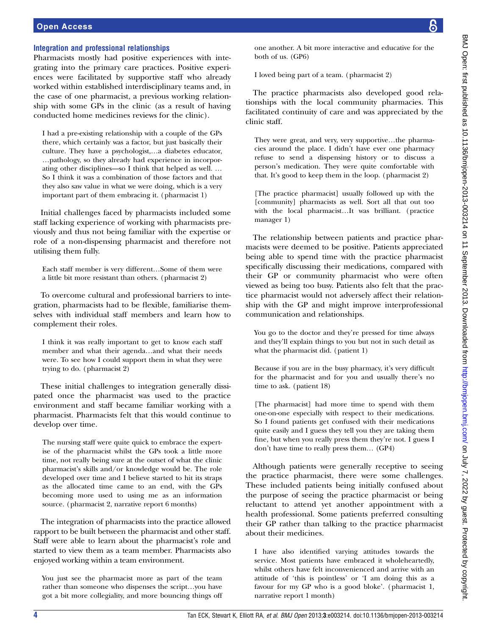### Open Access

#### Integration and professional relationships

Pharmacists mostly had positive experiences with integrating into the primary care practices. Positive experiences were facilitated by supportive staff who already worked within established interdisciplinary teams and, in the case of one pharmacist, a previous working relationship with some GPs in the clinic (as a result of having conducted home medicines reviews for the clinic).

I had a pre-existing relationship with a couple of the GPs there, which certainly was a factor, but just basically their culture. They have a psychologist,…a diabetes educator, …pathology, so they already had experience in incorporating other disciplines—so I think that helped as well. … So I think it was a combination of those factors and that they also saw value in what we were doing, which is a very important part of them embracing it. (pharmacist 1)

Initial challenges faced by pharmacists included some staff lacking experience of working with pharmacists previously and thus not being familiar with the expertise or role of a non-dispensing pharmacist and therefore not utilising them fully.

Each staff member is very different…Some of them were a little bit more resistant than others. (pharmacist 2)

To overcome cultural and professional barriers to integration, pharmacists had to be flexible, familiarise themselves with individual staff members and learn how to complement their roles.

I think it was really important to get to know each staff member and what their agenda…and what their needs were. To see how I could support them in what they were trying to do. (pharmacist 2)

These initial challenges to integration generally dissipated once the pharmacist was used to the practice environment and staff became familiar working with a pharmacist. Pharmacists felt that this would continue to develop over time.

The nursing staff were quite quick to embrace the expertise of the pharmacist whilst the GPs took a little more time, not really being sure at the outset of what the clinic pharmacist's skills and/or knowledge would be. The role developed over time and I believe started to hit its straps as the allocated time came to an end, with the GPs becoming more used to using me as an information source. (pharmacist 2, narrative report 6 months)

The integration of pharmacists into the practice allowed rapport to be built between the pharmacist and other staff. Staff were able to learn about the pharmacist's role and started to view them as a team member. Pharmacists also enjoyed working within a team environment.

You just see the pharmacist more as part of the team rather than someone who dispenses the script…you have got a bit more collegiality, and more bouncing things off one another. A bit more interactive and educative for the both of us. (GP6)

I loved being part of a team. (pharmacist 2)

The practice pharmacists also developed good relationships with the local community pharmacies. This facilitated continuity of care and was appreciated by the clinic staff.

They were great, and very, very supportive…the pharmacies around the place. I didn't have ever one pharmacy refuse to send a dispensing history or to discuss a person's medication. They were quite comfortable with that. It's good to keep them in the loop. (pharmacist 2)

[The practice pharmacist] usually followed up with the [community] pharmacists as well. Sort all that out too with the local pharmacist…It was brilliant. (practice manager 1)

The relationship between patients and practice pharmacists were deemed to be positive. Patients appreciated being able to spend time with the practice pharmacist specifically discussing their medications, compared with their GP or community pharmacist who were often viewed as being too busy. Patients also felt that the practice pharmacist would not adversely affect their relationship with the GP and might improve interprofessional communication and relationships.

You go to the doctor and they're pressed for time always and they'll explain things to you but not in such detail as what the pharmacist did. (patient 1)

Because if you are in the busy pharmacy, it's very difficult for the pharmacist and for you and usually there's no time to ask. (patient 18)

[The pharmacist] had more time to spend with them one-on-one especially with respect to their medications. So I found patients get confused with their medications quite easily and I guess they tell you they are taking them fine, but when you really press them they're not. I guess I don't have time to really press them… (GP4)

Although patients were generally receptive to seeing the practice pharmacist, there were some challenges. These included patients being initially confused about the purpose of seeing the practice pharmacist or being reluctant to attend yet another appointment with a health professional. Some patients preferred consulting their GP rather than talking to the practice pharmacist about their medicines.

I have also identified varying attitudes towards the service. Most patients have embraced it wholeheartedly, whilst others have felt inconvenienced and arrive with an attitude of 'this is pointless' or 'I am doing this as a favour for my GP who is a good bloke'. (pharmacist 1, narrative report 1 month)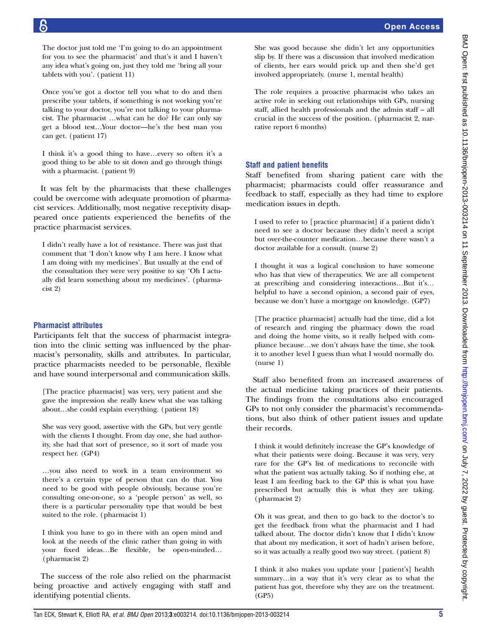The doctor just told me 'I'm going to do an appointment for you to see the pharmacist' and that's it and I haven't any idea what's going on, just they told me 'bring all your tablets with you'. (patient 11)

Once you've got a doctor tell you what to do and then prescribe your tablets, if something is not working you're talking to your doctor, you're not talking to your pharmacist. The pharmacist …what can he do? He can only say get a blood test…Your doctor—he's the best man you can get. (patient 17)

I think it's a good thing to have…every so often it's a good thing to be able to sit down and go through things with a pharmacist. (patient 9)

It was felt by the pharmacists that these challenges could be overcome with adequate promotion of pharmacist services. Additionally, most negative receptivity disappeared once patients experienced the benefits of the practice pharmacist services.

I didn't really have a lot of resistance. There was just that comment that 'I don't know why I am here. I know what I am doing with my medicines'. But usually at the end of the consultation they were very positive to say 'Oh I actually did learn something about my medicines'. (pharmacist 2)

#### Pharmacist attributes

Participants felt that the success of pharmacist integration into the clinic setting was influenced by the pharmacist's personality, skills and attributes. In particular, practice pharmacists needed to be personable, flexible and have sound interpersonal and communication skills.

[The practice pharmacist] was very, very patient and she gave the impression she really knew what she was talking about…she could explain everything. (patient 18)

She was very good, assertive with the GPs, but very gentle with the clients I thought. From day one, she had authority, she had that sort of presence, so it sort of made you respect her. (GP4)

…you also need to work in a team environment so there's a certain type of person that can do that. You need to be good with people obviously, because you're consulting one-on-one, so a 'people person' as well, so there is a particular personality type that would be best suited to the role. (pharmacist 1)

I think you have to go in there with an open mind and look at the needs of the clinic rather than going in with your fixed ideas…Be flexible, be open-minded… (pharmacist 2)

The success of the role also relied on the pharmacist being proactive and actively engaging with staff and identifying potential clients.

She was good because she didn't let any opportunities slip by. If there was a discussion that involved medication of clients, her ears would prick up and then she'd get involved appropriately. (nurse 1, mental health)

The role requires a proactive pharmacist who takes an active role in seeking out relationships with GPs, nursing staff, allied health professionals and the admin staff – all crucial in the success of the position. (pharmacist 2, narrative report 6 months)

#### Staff and patient benefits

Staff benefited from sharing patient care with the pharmacist; pharmacists could offer reassurance and feedback to staff, especially as they had time to explore medication issues in depth.

I used to refer to [practice pharmacist] if a patient didn't need to see a doctor because they didn't need a script but over-the-counter medication…because there wasn't a doctor available for a consult. (nurse 2)

I thought it was a logical conclusion to have someone who has that view of therapeutics. We are all competent at prescribing and considering interactions…But it's… helpful to have a second opinion, a second pair of eyes, because we don't have a mortgage on knowledge. (GP7)

[The practice pharmacist] actually had the time, did a lot of research and ringing the pharmacy down the road and doing the home visits, so it really helped with compliance because…we don't always have the time, she took it to another level I guess than what I would normally do. (nurse 1)

Staff also benefited from an increased awareness of the actual medicine taking practices of their patients. The findings from the consultations also encouraged GPs to not only consider the pharmacist's recommendations, but also think of other patient issues and update their records.

I think it would definitely increase the GP's knowledge of what their patients were doing. Because it was very, very rare for the GP's list of medications to reconcile with what the patient was actually taking. So if nothing else, at least I am feeding back to the GP this is what you have prescribed but actually this is what they are taking. (pharmacist 2)

Oh it was great, and then to go back to the doctor's to get the feedback from what the pharmacist and I had talked about. The doctor didn't know that I didn't know that about my medication, it sort of hadn't arisen before, so it was actually a really good two way street. (patient 8)

I think it also makes you update your [patient's] health summary…in a way that it's very clear as to what the patient has got, therefore why they are on the treatment. (GP5)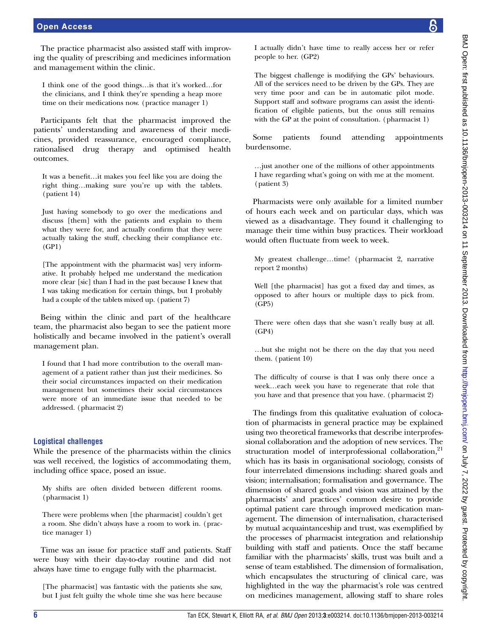The practice pharmacist also assisted staff with improving the quality of prescribing and medicines information and management within the clinic.

I think one of the good things…is that it's worked…for the clinicians, and I think they're spending a heap more time on their medications now. (practice manager 1)

Participants felt that the pharmacist improved the patients' understanding and awareness of their medicines, provided reassurance, encouraged compliance, rationalised drug therapy and optimised health outcomes.

It was a benefit…it makes you feel like you are doing the right thing…making sure you're up with the tablets. (patient 14)

Just having somebody to go over the medications and discuss [them] with the patients and explain to them what they were for, and actually confirm that they were actually taking the stuff, checking their compliance etc. (GP1)

[The appointment with the pharmacist was] very informative. It probably helped me understand the medication more clear [sic] than I had in the past because I knew that I was taking medication for certain things, but I probably had a couple of the tablets mixed up. (patient 7)

Being within the clinic and part of the healthcare team, the pharmacist also began to see the patient more holistically and became involved in the patient's overall management plan.

I found that I had more contribution to the overall management of a patient rather than just their medicines. So their social circumstances impacted on their medication management but sometimes their social circumstances were more of an immediate issue that needed to be addressed. (pharmacist 2)

#### Logistical challenges

While the presence of the pharmacists within the clinics was well received, the logistics of accommodating them, including office space, posed an issue.

My shifts are often divided between different rooms. (pharmacist 1)

There were problems when [the pharmacist] couldn't get a room. She didn't always have a room to work in. (practice manager 1)

Time was an issue for practice staff and patients. Staff were busy with their day-to-day routine and did not always have time to engage fully with the pharmacist.

[The pharmacist] was fantastic with the patients she saw, but I just felt guilty the whole time she was here because I actually didn't have time to really access her or refer people to her. (GP2)

The biggest challenge is modifying the GPs' behaviours. All of the services need to be driven by the GPs. They are very time poor and can be in automatic pilot mode. Support staff and software programs can assist the identification of eligible patients, but the onus still remains with the GP at the point of consultation. (pharmacist 1)

Some patients found attending appointments burdensome.

…just another one of the millions of other appointments I have regarding what's going on with me at the moment. (patient 3)

Pharmacists were only available for a limited number of hours each week and on particular days, which was viewed as a disadvantage. They found it challenging to manage their time within busy practices. Their workload would often fluctuate from week to week.

My greatest challenge…time! (pharmacist 2, narrative report 2 months)

Well [the pharmacist] has got a fixed day and times, as opposed to after hours or multiple days to pick from. (GP5)

There were often days that she wasn't really busy at all.  $(GP4)$ 

…but she might not be there on the day that you need them. (patient 10)

The difficulty of course is that I was only there once a week…each week you have to regenerate that role that you have and that presence that you have. (pharmacist 2)

The findings from this qualitative evaluation of colocation of pharmacists in general practice may be explained using two theoretical frameworks that describe interprofessional collaboration and the adoption of new services. The structuration model of interprofessional collaboration,<sup>21</sup> which has its basis in organisational sociology, consists of four interrelated dimensions including: shared goals and vision; internalisation; formalisation and governance. The dimension of shared goals and vision was attained by the pharmacists' and practices' common desire to provide optimal patient care through improved medication management. The dimension of internalisation, characterised by mutual acquaintanceship and trust, was exemplified by the processes of pharmacist integration and relationship building with staff and patients. Once the staff became familiar with the pharmacists' skills, trust was built and a sense of team established. The dimension of formalisation, which encapsulates the structuring of clinical care, was highlighted in the way the pharmacist's role was centred on medicines management, allowing staff to share roles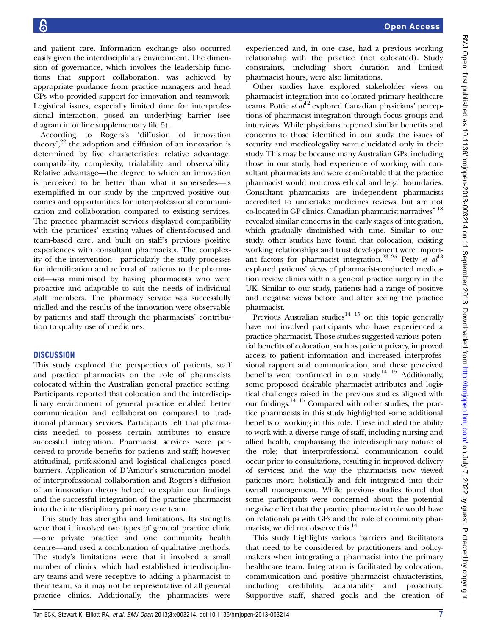and patient care. Information exchange also occurred easily given the interdisciplinary environment. The dimension of governance, which involves the leadership functions that support collaboration, was achieved by appropriate guidance from practice managers and head GPs who provided support for innovation and teamwork. Logistical issues, especially limited time for interprofessional interaction, posed an underlying barrier (see diagram in online supplementary file 5).

According to Rogers's 'diffusion of innovation theory', <sup>22</sup> the adoption and diffusion of an innovation is determined by five characteristics: relative advantage, compatibility, complexity, trialability and observability. Relative advantage—the degree to which an innovation is perceived to be better than what it supersedes—is exemplified in our study by the improved positive outcomes and opportunities for interprofessional communication and collaboration compared to existing services. The practice pharmacist services displayed compatibility with the practices' existing values of client-focused and team-based care, and built on staff's previous positive experiences with consultant pharmacists. The complexity of the intervention—particularly the study processes for identification and referral of patients to the pharmacist—was minimised by having pharmacists who were proactive and adaptable to suit the needs of individual staff members. The pharmacy service was successfully trialled and the results of the innovation were observable by patients and staff through the pharmacists' contribution to quality use of medicines.

#### **DISCUSSION**

This study explored the perspectives of patients, staff and practice pharmacists on the role of pharmacists colocated within the Australian general practice setting. Participants reported that colocation and the interdisciplinary environment of general practice enabled better communication and collaboration compared to traditional pharmacy services. Participants felt that pharmacists needed to possess certain attributes to ensure successful integration. Pharmacist services were perceived to provide benefits for patients and staff; however, attitudinal, professional and logistical challenges posed barriers. Application of D'Amour's structuration model of interprofessional collaboration and Rogers's diffusion of an innovation theory helped to explain our findings and the successful integration of the practice pharmacist into the interdisciplinary primary care team.

This study has strengths and limitations. Its strengths were that it involved two types of general practice clinic —one private practice and one community health centre—and used a combination of qualitative methods. The study's limitations were that it involved a small number of clinics, which had established interdisciplinary teams and were receptive to adding a pharmacist to their team, so it may not be representative of all general practice clinics. Additionally, the pharmacists were

experienced and, in one case, had a previous working relationship with the practice (not colocated). Study constraints, including short duration and limited pharmacist hours, were also limitations.

Other studies have explored stakeholder views on pharmacist integration into co-located primary healthcare teams. Pottie et  $al^{12}$  explored Canadian physicians' perceptions of pharmacist integration through focus groups and interviews. While physicians reported similar benefits and concerns to those identified in our study, the issues of security and medicolegality were elucidated only in their study. This may be because many Australian GPs, including those in our study, had experience of working with consultant pharmacists and were comfortable that the practice pharmacist would not cross ethical and legal boundaries. Consultant pharmacists are independent pharmacists accredited to undertake medicines reviews, but are not co-located in GP clinics. Canadian pharmacist narratives  $818$ revealed similar concerns in the early stages of integration, which gradually diminished with time. Similar to our study, other studies have found that colocation, existing working relationships and trust development were important factors for pharmacist integration.<sup>23–25</sup> Petty et  $al^{13}$ explored patients' views of pharmacist-conducted medication review clinics within a general practice surgery in the UK. Similar to our study, patients had a range of positive and negative views before and after seeing the practice pharmacist.

Previous Australian studies<sup>14 15</sup> on this topic generally have not involved participants who have experienced a practice pharmacist. Those studies suggested various potential benefits of colocation, such as patient privacy, improved access to patient information and increased interprofessional rapport and communication, and these perceived benefits were confirmed in our study.<sup>14 15</sup> Additionally, some proposed desirable pharmacist attributes and logistical challenges raised in the previous studies aligned with our findings.<sup>14 15</sup> Compared with other studies, the practice pharmacists in this study highlighted some additional benefits of working in this role. These included the ability to work with a diverse range of staff, including nursing and allied health, emphasising the interdisciplinary nature of the role; that interprofessional communication could occur prior to consultations, resulting in improved delivery of services; and the way the pharmacists now viewed patients more holistically and felt integrated into their overall management. While previous studies found that some participants were concerned about the potential negative effect that the practice pharmacist role would have on relationships with GPs and the role of community pharmacists, we did not observe this.14

This study highlights various barriers and facilitators that need to be considered by practitioners and policymakers when integrating a pharmacist into the primary healthcare team. Integration is facilitated by colocation, communication and positive pharmacist characteristics, including credibility, adaptability and proactivity. Supportive staff, shared goals and the creation of